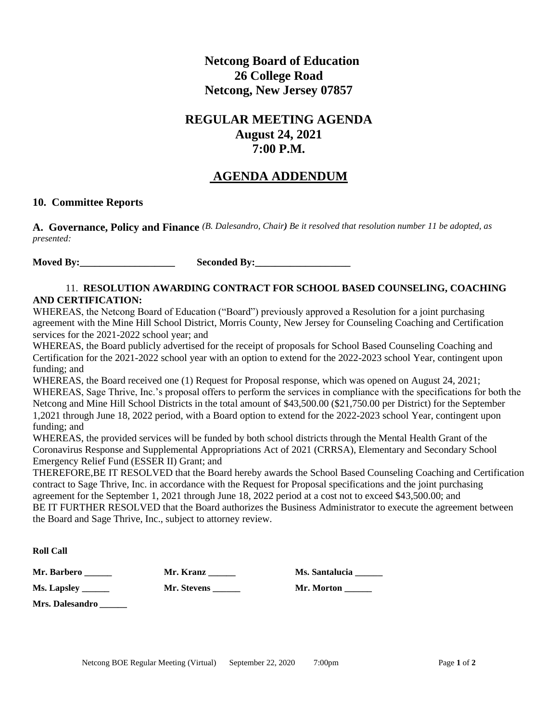## **Netcong Board of Education 26 College Road Netcong, New Jersey 07857**

# **REGULAR MEETING AGENDA August 24, 2021 7:00 P.M.**

## **AGENDA ADDENDUM**

#### **10. Committee Reports**

**A. Governance, Policy and Finance** *(B. Dalesandro, Chair) Be it resolved that resolution number 11 be adopted, as presented:*

**Moved By:** Seconded By:

#### 11. **RESOLUTION AWARDING CONTRACT FOR SCHOOL BASED COUNSELING, COACHING AND CERTIFICATION:**

WHEREAS, the Netcong Board of Education ("Board") previously approved a Resolution for a joint purchasing agreement with the Mine Hill School District, Morris County, New Jersey for Counseling Coaching and Certification services for the 2021-2022 school year; and

WHEREAS, the Board publicly advertised for the receipt of proposals for School Based Counseling Coaching and Certification for the 2021-2022 school year with an option to extend for the 2022-2023 school Year, contingent upon funding; and

WHEREAS, the Board received one (1) Request for Proposal response, which was opened on August 24, 2021; WHEREAS, Sage Thrive, Inc.'s proposal offers to perform the services in compliance with the specifications for both the Netcong and Mine Hill School Districts in the total amount of \$43,500.00 (\$21,750.00 per District) for the September 1,2021 through June 18, 2022 period, with a Board option to extend for the 2022-2023 school Year, contingent upon funding; and

WHEREAS, the provided services will be funded by both school districts through the Mental Health Grant of the Coronavirus Response and Supplemental Appropriations Act of 2021 (CRRSA), Elementary and Secondary School Emergency Relief Fund (ESSER II) Grant; and

THEREFORE,BE IT RESOLVED that the Board hereby awards the School Based Counseling Coaching and Certification contract to Sage Thrive, Inc. in accordance with the Request for Proposal specifications and the joint purchasing agreement for the September 1, 2021 through June 18, 2022 period at a cost not to exceed \$43,500.00; and BE IT FURTHER RESOLVED that the Board authorizes the Business Administrator to execute the agreement between the Board and Sage Thrive, Inc., subject to attorney review.

**Roll Call**

**Ms. Lapsley \_\_\_\_\_\_ Mr. Stevens \_\_\_\_\_\_ Mr. Morton \_\_\_\_\_\_**

**Mr. Barbero \_\_\_\_\_\_ Mr. Kranz \_\_\_\_\_\_ Ms. Santalucia \_\_\_\_\_\_**

**Mrs. Dalesandro** *\_\_\_\_\_\_*